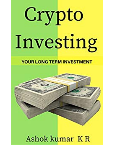## Crypto Investing

## YOUR LONG TERM INVESTMENT

## Ashok kumar KR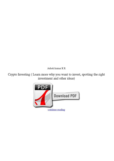*Ashok kumar K R*

**Crypto Investing ( Learn more why you want to invest, spotting the right investment and other ideas)**

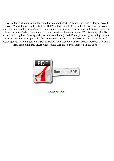This is a tough situation and in the event that you miss investing then you will regret like you missed bitcoins. You will never need 10000\$ nor 1000\$ and just only \$100 to start with investing one cryptocurrency on a monthly basis. Only the investors make the amount of money and traders have equivalent losses because it's risky.I recommend to be an investor rather than a trader ( This is exactly what We learnt after losing lots of money and after repeated failures,) Hold till you get earnings or let it go to zero. Have an extended term approach! This is the time to purchase other altcoins for long term. The profit percentage will be better than any other investment and Don't dump all your money on coins. Usually the hero or zero mindset, Invest when it's less cost and you will think it is in this book.!!



[continue reading](http://bit.ly/2Tge8Fv)